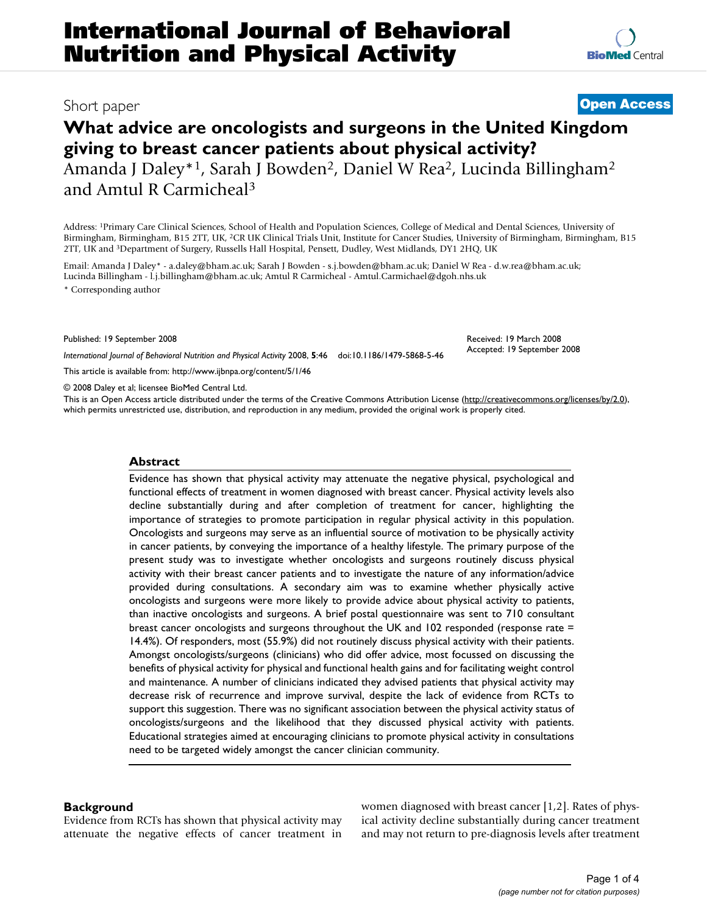# **What advice are oncologists and surgeons in the United Kingdom giving to breast cancer patients about physical activity?** Amanda J Daley\*1, Sarah J Bowden2, Daniel W Rea2, Lucinda Billingham2 and Amtul R Carmicheal3

Address: 1Primary Care Clinical Sciences, School of Health and Population Sciences, College of Medical and Dental Sciences, University of Birmingham, Birmingham, B15 2TT, UK, 2CR UK Clinical Trials Unit, Institute for Cancer Studies, University of Birmingham, Birmingham, B15 2TT, UK and 3Department of Surgery, Russells Hall Hospital, Pensett, Dudley, West Midlands, DY1 2HQ, UK

Email: Amanda J Daley\* - a.daley@bham.ac.uk; Sarah J Bowden - s.j.bowden@bham.ac.uk; Daniel W Rea - d.w.rea@bham.ac.uk; Lucinda Billingham - l.j.billingham@bham.ac.uk; Amtul R Carmicheal - Amtul.Carmichael@dgoh.nhs.uk

\* Corresponding author

Published: 19 September 2008

*International Journal of Behavioral Nutrition and Physical Activity* 2008, **5**:46 doi:10.1186/1479-5868-5-46

[This article is available from: http://www.ijbnpa.org/content/5/1/46](http://www.ijbnpa.org/content/5/1/46)

© 2008 Daley et al; licensee BioMed Central Ltd.

This is an Open Access article distributed under the terms of the Creative Commons Attribution License [\(http://creativecommons.org/licenses/by/2.0\)](http://creativecommons.org/licenses/by/2.0), which permits unrestricted use, distribution, and reproduction in any medium, provided the original work is properly cited.

#### **Abstract**

Evidence has shown that physical activity may attenuate the negative physical, psychological and functional effects of treatment in women diagnosed with breast cancer. Physical activity levels also decline substantially during and after completion of treatment for cancer, highlighting the importance of strategies to promote participation in regular physical activity in this population. Oncologists and surgeons may serve as an influential source of motivation to be physically activity in cancer patients, by conveying the importance of a healthy lifestyle. The primary purpose of the present study was to investigate whether oncologists and surgeons routinely discuss physical activity with their breast cancer patients and to investigate the nature of any information/advice provided during consultations. A secondary aim was to examine whether physically active oncologists and surgeons were more likely to provide advice about physical activity to patients, than inactive oncologists and surgeons. A brief postal questionnaire was sent to 710 consultant breast cancer oncologists and surgeons throughout the UK and 102 responded (response rate = 14.4%). Of responders, most (55.9%) did not routinely discuss physical activity with their patients. Amongst oncologists/surgeons (clinicians) who did offer advice, most focussed on discussing the benefits of physical activity for physical and functional health gains and for facilitating weight control and maintenance. A number of clinicians indicated they advised patients that physical activity may decrease risk of recurrence and improve survival, despite the lack of evidence from RCTs to support this suggestion. There was no significant association between the physical activity status of oncologists/surgeons and the likelihood that they discussed physical activity with patients. Educational strategies aimed at encouraging clinicians to promote physical activity in consultations need to be targeted widely amongst the cancer clinician community.

## **Background**

Evidence from RCTs has shown that physical activity may attenuate the negative effects of cancer treatment in women diagnosed with breast cancer [1,2]. Rates of physical activity decline substantially during cancer treatment and may not return to pre-diagnosis levels after treatment

# Short paper **[Open Access](http://www.biomedcentral.com/info/about/charter/)**

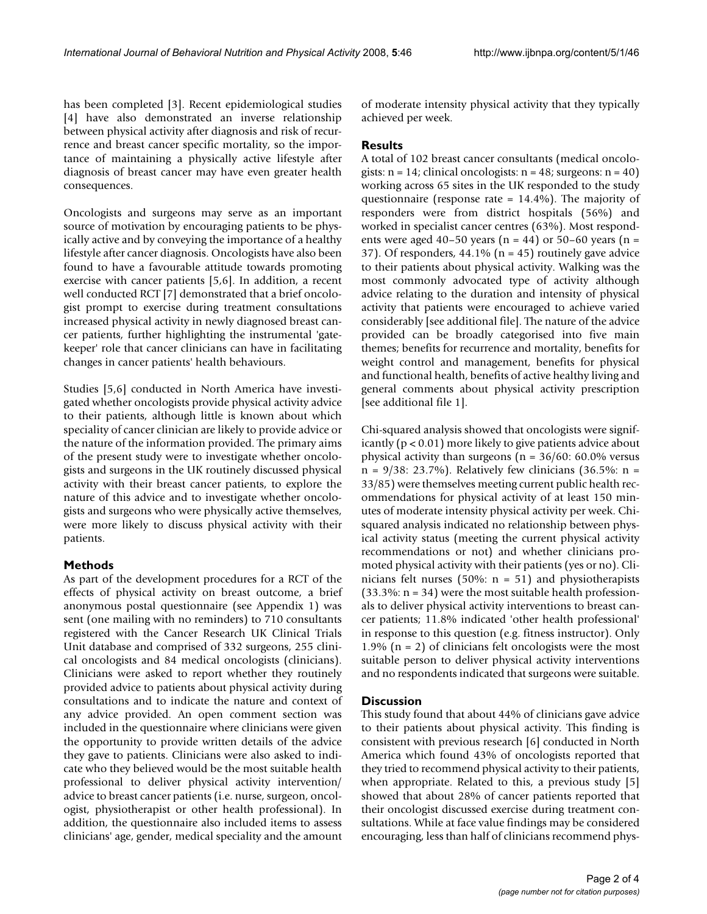has been completed [3]. Recent epidemiological studies [4] have also demonstrated an inverse relationship between physical activity after diagnosis and risk of recurrence and breast cancer specific mortality, so the importance of maintaining a physically active lifestyle after diagnosis of breast cancer may have even greater health consequences.

Oncologists and surgeons may serve as an important source of motivation by encouraging patients to be physically active and by conveying the importance of a healthy lifestyle after cancer diagnosis. Oncologists have also been found to have a favourable attitude towards promoting exercise with cancer patients [5,6]. In addition, a recent well conducted RCT [7] demonstrated that a brief oncologist prompt to exercise during treatment consultations increased physical activity in newly diagnosed breast cancer patients, further highlighting the instrumental 'gatekeeper' role that cancer clinicians can have in facilitating changes in cancer patients' health behaviours.

Studies [5,6] conducted in North America have investigated whether oncologists provide physical activity advice to their patients, although little is known about which speciality of cancer clinician are likely to provide advice or the nature of the information provided. The primary aims of the present study were to investigate whether oncologists and surgeons in the UK routinely discussed physical activity with their breast cancer patients, to explore the nature of this advice and to investigate whether oncologists and surgeons who were physically active themselves, were more likely to discuss physical activity with their patients.

## **Methods**

As part of the development procedures for a RCT of the effects of physical activity on breast outcome, a brief anonymous postal questionnaire (see Appendix 1) was sent (one mailing with no reminders) to 710 consultants registered with the Cancer Research UK Clinical Trials Unit database and comprised of 332 surgeons, 255 clinical oncologists and 84 medical oncologists (clinicians). Clinicians were asked to report whether they routinely provided advice to patients about physical activity during consultations and to indicate the nature and context of any advice provided. An open comment section was included in the questionnaire where clinicians were given the opportunity to provide written details of the advice they gave to patients. Clinicians were also asked to indicate who they believed would be the most suitable health professional to deliver physical activity intervention/ advice to breast cancer patients (i.e. nurse, surgeon, oncologist, physiotherapist or other health professional). In addition, the questionnaire also included items to assess clinicians' age, gender, medical speciality and the amount of moderate intensity physical activity that they typically achieved per week.

## **Results**

A total of 102 breast cancer consultants (medical oncologists:  $n = 14$ ; clinical oncologists:  $n = 48$ ; surgeons:  $n = 40$ ) working across 65 sites in the UK responded to the study questionnaire (response rate = 14.4%). The majority of responders were from district hospitals (56%) and worked in specialist cancer centres (63%). Most respondents were aged 40–50 years ( $n = 44$ ) or 50–60 years ( $n =$ 37). Of responders,  $44.1\%$  (n = 45) routinely gave advice to their patients about physical activity. Walking was the most commonly advocated type of activity although advice relating to the duration and intensity of physical activity that patients were encouraged to achieve varied considerably [see additional file]. The nature of the advice provided can be broadly categorised into five main themes; benefits for recurrence and mortality, benefits for weight control and management, benefits for physical and functional health, benefits of active healthy living and general comments about physical activity prescription [see additional file 1].

Chi-squared analysis showed that oncologists were significantly (p < 0.01) more likely to give patients advice about physical activity than surgeons ( $n = 36/60$ : 60.0% versus n = 9/38: 23.7%). Relatively few clinicians (36.5%: n = 33/85) were themselves meeting current public health recommendations for physical activity of at least 150 minutes of moderate intensity physical activity per week. Chisquared analysis indicated no relationship between physical activity status (meeting the current physical activity recommendations or not) and whether clinicians promoted physical activity with their patients (yes or no). Clinicians felt nurses (50%:  $n = 51$ ) and physiotherapists  $(33.3\%: n = 34)$  were the most suitable health professionals to deliver physical activity interventions to breast cancer patients; 11.8% indicated 'other health professional' in response to this question (e.g. fitness instructor). Only 1.9% ( $n = 2$ ) of clinicians felt oncologists were the most suitable person to deliver physical activity interventions and no respondents indicated that surgeons were suitable.

## **Discussion**

This study found that about 44% of clinicians gave advice to their patients about physical activity. This finding is consistent with previous research [6] conducted in North America which found 43% of oncologists reported that they tried to recommend physical activity to their patients, when appropriate. Related to this, a previous study [5] showed that about 28% of cancer patients reported that their oncologist discussed exercise during treatment consultations. While at face value findings may be considered encouraging, less than half of clinicians recommend phys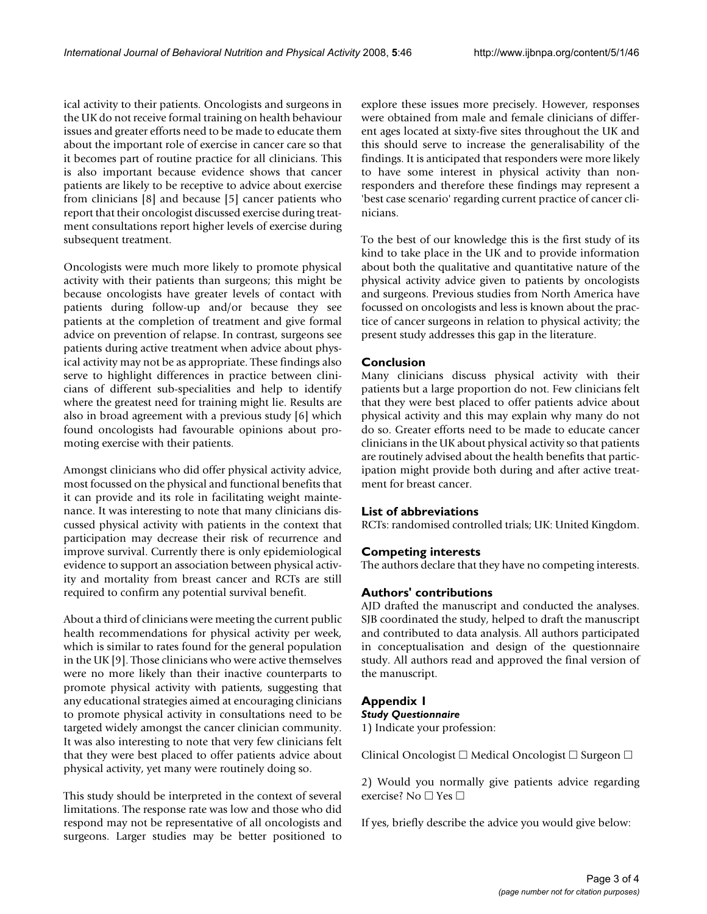ical activity to their patients. Oncologists and surgeons in the UK do not receive formal training on health behaviour issues and greater efforts need to be made to educate them about the important role of exercise in cancer care so that it becomes part of routine practice for all clinicians. This is also important because evidence shows that cancer patients are likely to be receptive to advice about exercise from clinicians [8] and because [5] cancer patients who report that their oncologist discussed exercise during treatment consultations report higher levels of exercise during subsequent treatment.

Oncologists were much more likely to promote physical activity with their patients than surgeons; this might be because oncologists have greater levels of contact with patients during follow-up and/or because they see patients at the completion of treatment and give formal advice on prevention of relapse. In contrast, surgeons see patients during active treatment when advice about physical activity may not be as appropriate. These findings also serve to highlight differences in practice between clinicians of different sub-specialities and help to identify where the greatest need for training might lie. Results are also in broad agreement with a previous study [6] which found oncologists had favourable opinions about promoting exercise with their patients.

Amongst clinicians who did offer physical activity advice, most focussed on the physical and functional benefits that it can provide and its role in facilitating weight maintenance. It was interesting to note that many clinicians discussed physical activity with patients in the context that participation may decrease their risk of recurrence and improve survival. Currently there is only epidemiological evidence to support an association between physical activity and mortality from breast cancer and RCTs are still required to confirm any potential survival benefit.

About a third of clinicians were meeting the current public health recommendations for physical activity per week, which is similar to rates found for the general population in the UK [9]. Those clinicians who were active themselves were no more likely than their inactive counterparts to promote physical activity with patients, suggesting that any educational strategies aimed at encouraging clinicians to promote physical activity in consultations need to be targeted widely amongst the cancer clinician community. It was also interesting to note that very few clinicians felt that they were best placed to offer patients advice about physical activity, yet many were routinely doing so.

This study should be interpreted in the context of several limitations. The response rate was low and those who did respond may not be representative of all oncologists and surgeons. Larger studies may be better positioned to explore these issues more precisely. However, responses were obtained from male and female clinicians of different ages located at sixty-five sites throughout the UK and this should serve to increase the generalisability of the findings. It is anticipated that responders were more likely to have some interest in physical activity than nonresponders and therefore these findings may represent a 'best case scenario' regarding current practice of cancer clinicians.

To the best of our knowledge this is the first study of its kind to take place in the UK and to provide information about both the qualitative and quantitative nature of the physical activity advice given to patients by oncologists and surgeons. Previous studies from North America have focussed on oncologists and less is known about the practice of cancer surgeons in relation to physical activity; the present study addresses this gap in the literature.

## **Conclusion**

Many clinicians discuss physical activity with their patients but a large proportion do not. Few clinicians felt that they were best placed to offer patients advice about physical activity and this may explain why many do not do so. Greater efforts need to be made to educate cancer clinicians in the UK about physical activity so that patients are routinely advised about the health benefits that participation might provide both during and after active treatment for breast cancer.

## **List of abbreviations**

RCTs: randomised controlled trials; UK: United Kingdom.

## **Competing interests**

The authors declare that they have no competing interests.

## **Authors' contributions**

AJD drafted the manuscript and conducted the analyses. SJB coordinated the study, helped to draft the manuscript and contributed to data analysis. All authors participated in conceptualisation and design of the questionnaire study. All authors read and approved the final version of the manuscript.

## **Appendix 1**

#### *Study Questionnaire*

1) Indicate your profession:

Clinical Oncologist  $\Box$  Medical Oncologist  $\Box$  Surgeon  $\Box$ 

2) Would you normally give patients advice regarding exercise? No  $\Box$  Yes  $\Box$ 

If yes, briefly describe the advice you would give below: